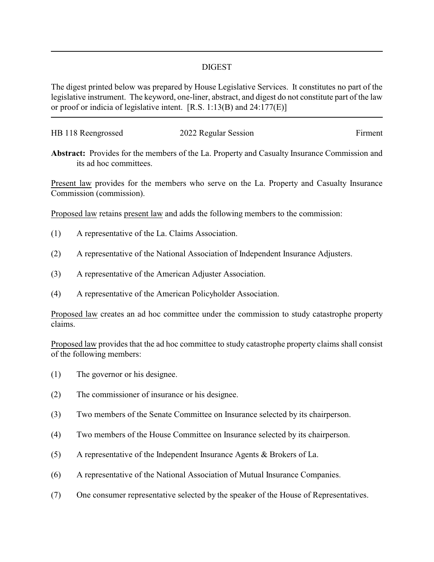## DIGEST

The digest printed below was prepared by House Legislative Services. It constitutes no part of the legislative instrument. The keyword, one-liner, abstract, and digest do not constitute part of the law or proof or indicia of legislative intent. [R.S. 1:13(B) and 24:177(E)]

| HB 118 Reengrossed | 2022 Regular Session | Firment |
|--------------------|----------------------|---------|
|                    |                      |         |

**Abstract:** Provides for the members of the La. Property and Casualty Insurance Commission and its ad hoc committees.

Present law provides for the members who serve on the La. Property and Casualty Insurance Commission (commission).

Proposed law retains present law and adds the following members to the commission:

- (1) A representative of the La. Claims Association.
- (2) A representative of the National Association of Independent Insurance Adjusters.
- (3) A representative of the American Adjuster Association.
- (4) A representative of the American Policyholder Association.

Proposed law creates an ad hoc committee under the commission to study catastrophe property claims.

Proposed law provides that the ad hoc committee to study catastrophe property claims shall consist of the following members:

- (1) The governor or his designee.
- (2) The commissioner of insurance or his designee.
- (3) Two members of the Senate Committee on Insurance selected by its chairperson.
- (4) Two members of the House Committee on Insurance selected by its chairperson.
- (5) A representative of the Independent Insurance Agents & Brokers of La.
- (6) A representative of the National Association of Mutual Insurance Companies.
- (7) One consumer representative selected by the speaker of the House of Representatives.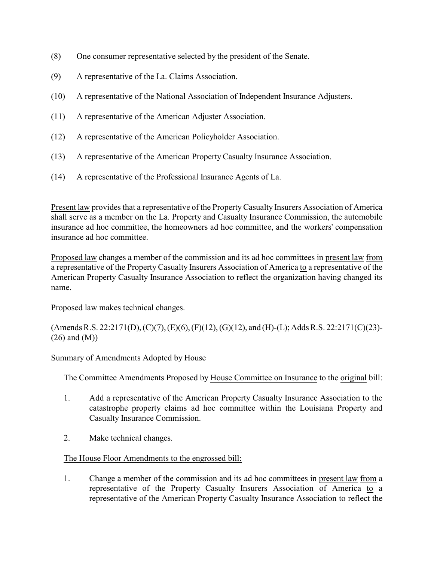- (8) One consumer representative selected by the president of the Senate.
- (9) A representative of the La. Claims Association.
- (10) A representative of the National Association of Independent Insurance Adjusters.
- (11) A representative of the American Adjuster Association.
- (12) A representative of the American Policyholder Association.
- (13) A representative of the American Property Casualty Insurance Association.
- (14) A representative of the Professional Insurance Agents of La.

Present law provides that a representative of the PropertyCasualty Insurers Association of America shall serve as a member on the La. Property and Casualty Insurance Commission, the automobile insurance ad hoc committee, the homeowners ad hoc committee, and the workers' compensation insurance ad hoc committee.

Proposed law changes a member of the commission and its ad hoc committees in present law from a representative of the Property Casualty Insurers Association of America to a representative of the American Property Casualty Insurance Association to reflect the organization having changed its name.

Proposed law makes technical changes.

(Amends R.S. 22:2171(D), (C)(7), (E)(6), (F)(12), (G)(12), and (H)-(L); Adds R.S. 22:2171(C)(23)- (26) and (M))

## Summary of Amendments Adopted by House

The Committee Amendments Proposed by House Committee on Insurance to the original bill:

- 1. Add a representative of the American Property Casualty Insurance Association to the catastrophe property claims ad hoc committee within the Louisiana Property and Casualty Insurance Commission.
- 2. Make technical changes.

## The House Floor Amendments to the engrossed bill:

1. Change a member of the commission and its ad hoc committees in present law from a representative of the Property Casualty Insurers Association of America to a representative of the American Property Casualty Insurance Association to reflect the